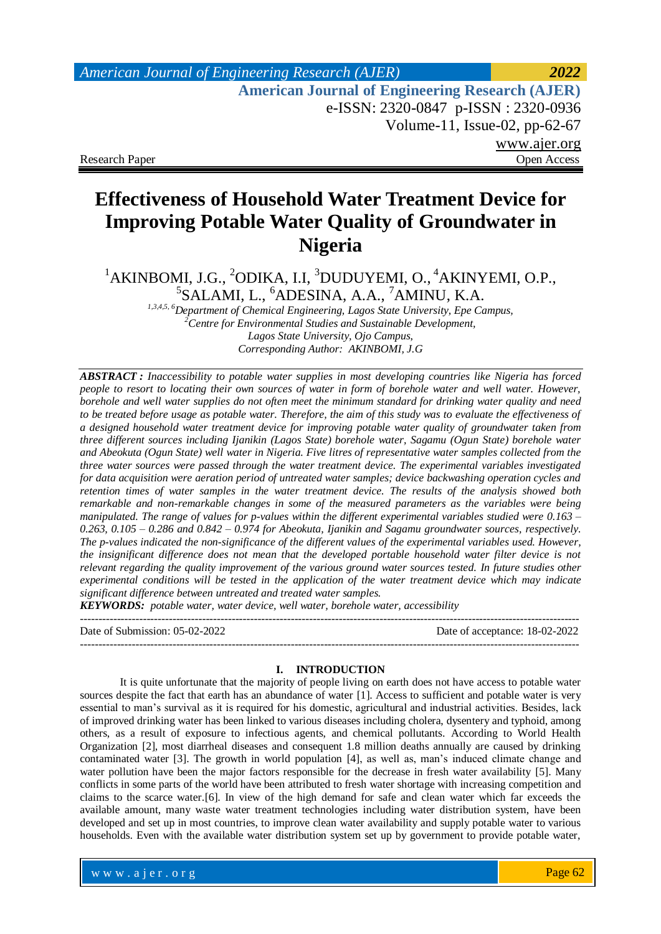# *American Journal of Engineering Research (AJER) 2022*  **American Journal of Engineering Research (AJER)** e-ISSN: 2320-0847 p-ISSN : 2320-0936 Volume-11, Issue-02, pp-62-67 www.ajer.org Research Paper **Open Access** Open Access **Open Access**

**Effectiveness of Household Water Treatment Device for Improving Potable Water Quality of Groundwater in Nigeria** 

<sup>1</sup>AKINBOMI, J.G., <sup>2</sup>ODIKA, I.I, <sup>3</sup>DUDUYEMI, O., <sup>4</sup>AKINYEMI, O.P., <sup>5</sup>SALAMI, L., <sup>6</sup>ADESINA, A.A., <sup>7</sup>AMINU, K.A.

*1,3,4,5, 6Department of Chemical Engineering, Lagos State University, Epe Campus, <sup>2</sup>Centre for Environmental Studies and Sustainable Development, Lagos State University, Ojo Campus*, *Corresponding Author: AKINBOMI, J.G*

*ABSTRACT : Inaccessibility to potable water supplies in most developing countries like Nigeria has forced people to resort to locating their own sources of water in form of borehole water and well water. However, borehole and well water supplies do not often meet the minimum standard for drinking water quality and need to be treated before usage as potable water. Therefore, the aim of this study was to evaluate the effectiveness of a designed household water treatment device for improving potable water quality of groundwater taken from three different sources including Ijanikin (Lagos State) borehole water, Sagamu (Ogun State) borehole water and Abeokuta (Ogun State) well water in Nigeria. Five litres of representative water samples collected from the three water sources were passed through the water treatment device. The experimental variables investigated for data acquisition were aeration period of untreated water samples; device backwashing operation cycles and retention times of water samples in the water treatment device. The results of the analysis showed both remarkable and non-remarkable changes in some of the measured parameters as the variables were being manipulated. The range of values for p-values within the different experimental variables studied were 0.163 – 0.263, 0.105 – 0.286 and 0.842 – 0.974 for Abeokuta, Ijanikin and Sagamu groundwater sources, respectively. The p-values indicated the non-significance of the different values of the experimental variables used. However, the insignificant difference does not mean that the developed portable household water filter device is not relevant regarding the quality improvement of the various ground water sources tested. In future studies other experimental conditions will be tested in the application of the water treatment device which may indicate significant difference between untreated and treated water samples.*

*KEYWORDS: potable water, water device, well water, borehole water, accessibility* 

Date of Submission: 05-02-2022 Date of acceptance: 18-02-2022

---------------------------------------------------------------------------------------------------------------------------------------

#### **I. INTRODUCTION**

---------------------------------------------------------------------------------------------------------------------------------------

It is quite unfortunate that the majority of people living on earth does not have access to potable water sources despite the fact that earth has an abundance of water [\[1\]](#page-5-0). Access to sufficient and potable water is very essential to man's survival as it is required for his domestic, agricultural and industrial activities. Besides, lack of improved drinking water has been linked to various diseases including cholera, dysentery and typhoid, among others, as a result of exposure to infectious agents, and chemical pollutants. According to World Health Organization [\[2\]](#page-5-1), most diarrheal diseases and consequent 1.8 million deaths annually are caused by drinking contaminated water [\[3\]](#page-5-2). The growth in world population [\[4\]](#page-5-3), as well as, man's induced climate change and water pollution have been the major factors responsible for the decrease in fresh water availability [\[5\]](#page-5-4). Many conflicts in some parts of the world have been attributed to fresh water shortage with increasing competition and claims to the scarce water.[\[6\]](#page-5-5). In view of the high demand for safe and clean water which far exceeds the available amount, many waste water treatment technologies including water distribution system, have been developed and set up in most countries, to improve clean water availability and supply potable water to various households. Even with the available water distribution system set up by government to provide potable water,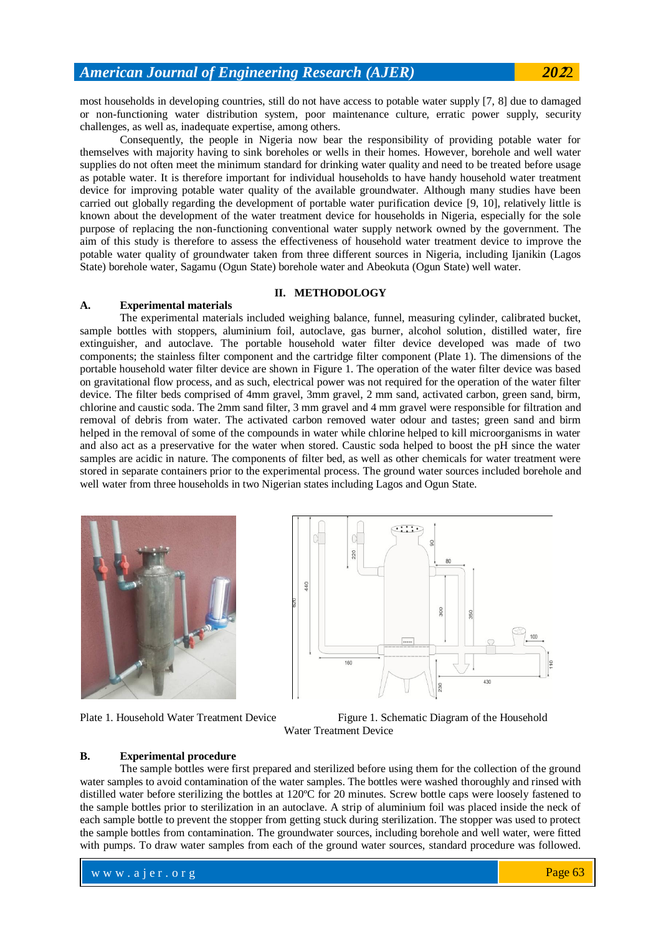most households in developing countries, still do not have access to potable water supply [\[7,](#page-5-6) [8\]](#page-5-7) due to damaged or non-functioning water distribution system, poor maintenance culture, erratic power supply, security challenges, as well as, inadequate expertise, among others.

Consequently, the people in Nigeria now bear the responsibility of providing potable water for themselves with majority having to sink boreholes or wells in their homes. However, borehole and well water supplies do not often meet the minimum standard for drinking water quality and need to be treated before usage as potable water. It is therefore important for individual households to have handy household water treatment device for improving potable water quality of the available groundwater. Although many studies have been carried out globally regarding the development of portable water purification device [\[9,](#page-5-8) [10\]](#page-5-9), relatively little is known about the development of the water treatment device for households in Nigeria, especially for the sole purpose of replacing the non-functioning conventional water supply network owned by the government. The aim of this study is therefore to assess the effectiveness of household water treatment device to improve the potable water quality of groundwater taken from three different sources in Nigeria, including Ijanikin (Lagos State) borehole water, Sagamu (Ogun State) borehole water and Abeokuta (Ogun State) well water.

### **II. METHODOLOGY**

#### **A. Experimental materials**

The experimental materials included weighing balance, funnel, measuring cylinder, calibrated bucket, sample bottles with stoppers, aluminium foil, autoclave, gas burner, alcohol solution, distilled water, fire extinguisher, and autoclave. The portable household water filter device developed was made of two components; the stainless filter component and the cartridge filter component (Plate 1). The dimensions of the portable household water filter device are shown in Figure 1. The operation of the water filter device was based on gravitational flow process, and as such, electrical power was not required for the operation of the water filter device. The filter beds comprised of 4mm gravel, 3mm gravel, 2 mm sand, activated carbon, green sand, birm, chlorine and caustic soda. The 2mm sand filter, 3 mm gravel and 4 mm gravel were responsible for filtration and removal of debris from water. The activated carbon removed water odour and tastes; green sand and birm helped in the removal of some of the compounds in water while chlorine helped to kill microorganisms in water and also act as a preservative for the water when stored. Caustic soda helped to boost the pH since the water samples are acidic in nature. The components of filter bed, as well as other chemicals for water treatment were stored in separate containers prior to the experimental process. The ground water sources included borehole and well water from three households in two Nigerian states including Lagos and Ogun State.







Plate 1. Household Water Treatment Device Figure 1. Schematic Diagram of the Household Water Treatment Device

#### **B. Experimental procedure**

The sample bottles were first prepared and sterilized before using them for the collection of the ground water samples to avoid contamination of the water samples. The bottles were washed thoroughly and rinsed with distilled water before sterilizing the bottles at 120ºC for 20 minutes. Screw bottle caps were loosely fastened to the sample bottles prior to sterilization in an autoclave. A strip of aluminium foil was placed inside the neck of each sample bottle to prevent the stopper from getting stuck during sterilization. The stopper was used to protect the sample bottles from contamination. The groundwater sources, including borehole and well water, were fitted with pumps. To draw water samples from each of the ground water sources, standard procedure was followed.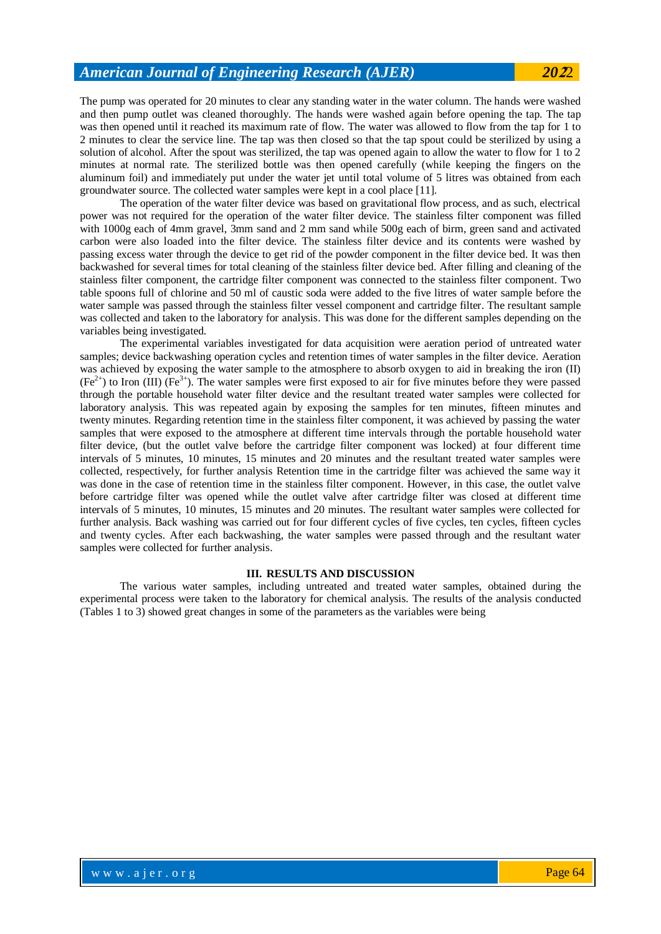The pump was operated for 20 minutes to clear any standing water in the water column. The hands were washed and then pump outlet was cleaned thoroughly. The hands were washed again before opening the tap. The tap was then opened until it reached its maximum rate of flow. The water was allowed to flow from the tap for 1 to 2 minutes to clear the service line. The tap was then closed so that the tap spout could be sterilized by using a solution of alcohol. After the spout was sterilized, the tap was opened again to allow the water to flow for 1 to 2 minutes at normal rate. The sterilized bottle was then opened carefully (while keeping the fingers on the aluminum foil) and immediately put under the water jet until total volume of 5 litres was obtained from each groundwater source. The collected water samples were kept in a cool place [\[11\]](#page-5-10).

The operation of the water filter device was based on gravitational flow process, and as such, electrical power was not required for the operation of the water filter device. The stainless filter component was filled with 1000g each of 4mm gravel, 3mm sand and 2 mm sand while 500g each of birm, green sand and activated carbon were also loaded into the filter device. The stainless filter device and its contents were washed by passing excess water through the device to get rid of the powder component in the filter device bed. It was then backwashed for several times for total cleaning of the stainless filter device bed. After filling and cleaning of the stainless filter component, the cartridge filter component was connected to the stainless filter component. Two table spoons full of chlorine and 50 ml of caustic soda were added to the five litres of water sample before the water sample was passed through the stainless filter vessel component and cartridge filter. The resultant sample was collected and taken to the laboratory for analysis. This was done for the different samples depending on the variables being investigated.

The experimental variables investigated for data acquisition were aeration period of untreated water samples; device backwashing operation cycles and retention times of water samples in the filter device. Aeration was achieved by exposing the water sample to the atmosphere to absorb oxygen to aid in breaking the iron (II)  $(Fe^{2+})$  to Iron (III)  $(Fe^{3+})$ . The water samples were first exposed to air for five minutes before they were passed through the portable household water filter device and the resultant treated water samples were collected for laboratory analysis. This was repeated again by exposing the samples for ten minutes, fifteen minutes and twenty minutes. Regarding retention time in the stainless filter component, it was achieved by passing the water samples that were exposed to the atmosphere at different time intervals through the portable household water filter device, (but the outlet valve before the cartridge filter component was locked) at four different time intervals of 5 minutes, 10 minutes, 15 minutes and 20 minutes and the resultant treated water samples were collected, respectively, for further analysis Retention time in the cartridge filter was achieved the same way it was done in the case of retention time in the stainless filter component. However, in this case, the outlet valve before cartridge filter was opened while the outlet valve after cartridge filter was closed at different time intervals of 5 minutes, 10 minutes, 15 minutes and 20 minutes. The resultant water samples were collected for further analysis. Back washing was carried out for four different cycles of five cycles, ten cycles, fifteen cycles and twenty cycles. After each backwashing, the water samples were passed through and the resultant water samples were collected for further analysis.

#### **III. RESULTS AND DISCUSSION**

The various water samples, including untreated and treated water samples, obtained during the experimental process were taken to the laboratory for chemical analysis. The results of the analysis conducted (Tables 1 to 3) showed great changes in some of the parameters as the variables were being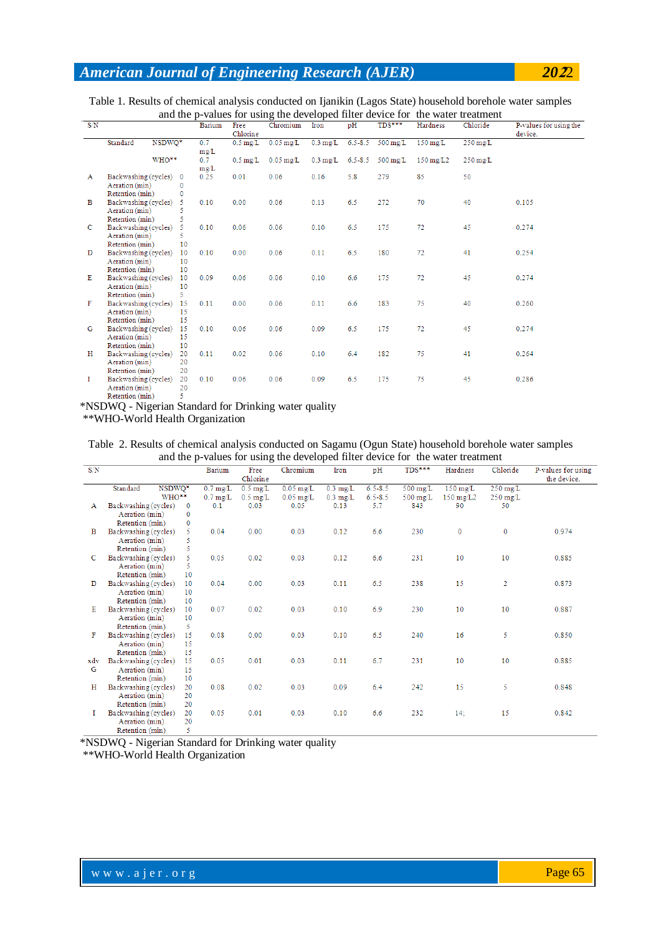| Table 1. Results of chemical analysis conducted on Ijanikin (Lagos State) household borehole water samples |  |
|------------------------------------------------------------------------------------------------------------|--|
| and the p-values for using the developed filter device for the water treatment                             |  |

|              |                        |        |             |        |                       |                                 |                    |     |                                     |                        | and the p-values for using the developed filter device for the water treatment |                                   |
|--------------|------------------------|--------|-------------|--------|-----------------------|---------------------------------|--------------------|-----|-------------------------------------|------------------------|--------------------------------------------------------------------------------|-----------------------------------|
| S/N          |                        |        |             | Barium | Free<br>Chlorine      | Chromium                        | Iron               | pH  | TDS***                              | Hardness               | Chloride                                                                       | P-values for using the<br>device. |
|              | Standard               | NSDWO* |             | 0.7    | $0.5 \,\mathrm{mg/L}$ | $0.05$ mg/L                     | $0.3 \text{ mg/L}$ |     | $6.5 - 8.5$ 500 mg/L                | $150 \,\mathrm{mg/L}$  | $250 \,\mathrm{mg/L}$                                                          |                                   |
|              |                        |        |             | mg/L   |                       |                                 |                    |     |                                     |                        |                                                                                |                                   |
|              |                        | WHO**  |             | 0.7    |                       | $0.5 \,\mathrm{mg/L}$ 0.05 mg/L |                    |     | $0.3 \text{ mg/L}$ 6.5-8.5 500 mg/L | $150 \,\mathrm{mg/L2}$ | $250 \,\mathrm{mg/L}$                                                          |                                   |
|              |                        |        |             | mg/L   |                       |                                 |                    |     |                                     |                        |                                                                                |                                   |
| $\mathbf{A}$ | Backwashing (cycles) 0 |        |             | 0.25   | 0.01                  | 0.06                            | 0.16               | 5.8 | 279                                 | 85                     | 50                                                                             |                                   |
|              | Aeration (min)         |        | $\Omega$    |        |                       |                                 |                    |     |                                     |                        |                                                                                |                                   |
|              | Retention (min)        |        | $\mathbf 0$ |        |                       |                                 |                    |     |                                     |                        |                                                                                |                                   |
| B            | Backwashing (cycles) 5 |        |             | 0.10   | 0.00                  | 0.06                            | 0.13               | 6.5 | 272                                 | 70                     | 40                                                                             | 0.105                             |
|              | Aeration (min)         |        |             |        |                       |                                 |                    |     |                                     |                        |                                                                                |                                   |
|              | Retention (min)        |        | 5           |        |                       |                                 |                    |     |                                     |                        |                                                                                |                                   |
| c            | Backwashing (cycles)   |        | 5.          | 0.10   | 0.06                  | 0.06                            | 0.10               | 6.5 | 175                                 | 72                     | 45                                                                             | 0.274                             |
|              | Aeration (min)         |        |             |        |                       |                                 |                    |     |                                     |                        |                                                                                |                                   |
|              | Retention (min)        |        | 10          |        |                       |                                 |                    |     |                                     |                        |                                                                                |                                   |
| D            | Backwashing (cycles)   |        | 10          | 0.10   | 0.00                  | 0.06                            | 0.11               | 6.5 | 180                                 | 72                     | 41                                                                             | 0.254                             |
|              | Aeration (min)         |        | 10          |        |                       |                                 |                    |     |                                     |                        |                                                                                |                                   |
|              | Retention (min)        |        | 10          |        |                       |                                 |                    |     |                                     |                        |                                                                                |                                   |
| Е            | Backwashing (cycles)   |        | 10          | 0.09   | 0.06                  | 0.06                            | 0.10               | 6.6 | 175                                 | 72                     | 45                                                                             | 0.274                             |
|              | Aeration (min)         |        | 10          |        |                       |                                 |                    |     |                                     |                        |                                                                                |                                   |
|              | Retention (min)        |        | 5.          |        |                       |                                 |                    |     |                                     |                        |                                                                                |                                   |
| F            | Backwashing (cycles)   |        | 15          | 0.11   | 0.00                  | 0.06                            | 0.11               | 6.6 | 183                                 | 75                     | 40                                                                             | 0.260                             |
|              | Aeration (min)         |        | 15          |        |                       |                                 |                    |     |                                     |                        |                                                                                |                                   |
|              | Retention (min)        |        | 15          |        |                       |                                 |                    |     |                                     |                        |                                                                                |                                   |
| G            | Backwashing (cycles)   |        | 15          | 0.10   | 0.06                  | 0.06                            | 0.09               | 6.5 | 175                                 | 72                     | 45                                                                             | 0.274                             |
|              | Aeration (min)         |        | 15          |        |                       |                                 |                    |     |                                     |                        |                                                                                |                                   |
|              | Retention (min)        |        | 10          |        |                       |                                 |                    |     |                                     |                        |                                                                                |                                   |
| н            | Backwashing (cycles)   |        | 20          | 0.11   | 0.02                  | 0.06                            | 0.10               | 6.4 | 182                                 | 75                     | 41                                                                             | 0.264                             |
|              | Aeration (min)         |        | 20          |        |                       |                                 |                    |     |                                     |                        |                                                                                |                                   |
|              | Retention (min)        |        | 20          |        |                       |                                 |                    |     |                                     |                        |                                                                                |                                   |
| Т.           | Backwashing (cycles)   |        | 20          | 0.10   | 0.06                  | 0.06                            | 0.09               | 6.5 | 175                                 | 75                     | 45                                                                             | 0.286                             |
|              | Aeration (min)         |        | 20          |        |                       |                                 |                    |     |                                     |                        |                                                                                |                                   |
|              | Retention (min)        |        | 5.          |        |                       |                                 |                    |     |                                     |                        |                                                                                |                                   |

\*NSDWQ - Nigerian Standard for Drinking water quality

\*\*WHO-World Health Organization

Table 2. Results of chemical analysis conducted on Sagamu (Ogun State) household borehole water samples and the p-values for using the developed filter device for the water treatment

| S/N |                      |              | <b>Barium</b>      | Free               | Chromium    | Iron               | pH          | TDS***             | Hardness           | Chloride           | P-values for using |
|-----|----------------------|--------------|--------------------|--------------------|-------------|--------------------|-------------|--------------------|--------------------|--------------------|--------------------|
|     |                      |              |                    | Chlorine           |             |                    |             |                    |                    |                    | the device.        |
|     | Standard<br>NSDWQ*   |              | $0.7 \text{ mg/L}$ | $0.5 \text{ mg/L}$ | $0.05$ mg/L | $0.3 \text{ mg/L}$ | $6.5 - 8.5$ | $500 \text{ mg/L}$ | $150 \text{ mg/L}$ | $250 \text{ mg/L}$ |                    |
|     | WHO**                |              | $0.7 \text{ mg/L}$ | $0.5$ mg/L         | $0.05$ mg/L | $0.3 \text{ mg/L}$ | $6.5 - 8.5$ | $500$ mg/L         | $150 \text{ mg/L}$ | $250 \text{ mg/L}$ |                    |
| А   | Backwashing (cycles) | $\mathbf{0}$ | 0.1                | 0.03               | 0.05        | 0.13               | 5.7         | 843                | 90                 | 50                 |                    |
|     | Aeration (min)       | 0            |                    |                    |             |                    |             |                    |                    |                    |                    |
|     | Retention (min)      | $\mathbf 0$  |                    |                    |             |                    |             |                    |                    |                    |                    |
| в   | Backwashing (cycles) | 5.           | 0.04               | 0.00               | 0.03        | 0.12               | 6.6         | 230                | 0                  | $\mathbf 0$        | 0.974              |
|     | Aeration (min)       | 5            |                    |                    |             |                    |             |                    |                    |                    |                    |
|     | Retention (min)      | 5            |                    |                    |             |                    |             |                    |                    |                    |                    |
| с   | Backwashing (cycles) | 5.           | 0.05               | 0.02               | 0.03        | 0.12               | 6.6         | 231                | 10                 | 10                 | 0.885              |
|     | Aeration (min)       | 5            |                    |                    |             |                    |             |                    |                    |                    |                    |
|     | Retention (min)      | 10           |                    |                    |             |                    |             |                    |                    |                    |                    |
| D   | Backwashing (cycles) | 10           | 0.04               | 0.00               | 0.03        | 0.11               | 6.5         | 238                | 15                 | $\overline{2}$     | 0.873              |
|     | Aeration (min)       | 10           |                    |                    |             |                    |             |                    |                    |                    |                    |
|     | Retention (min)      | 10           |                    |                    |             |                    |             |                    |                    |                    |                    |
| Е   | Backwashing (cycles) | 10           | 0.07               | 0.02               | 0.03        | 0.10               | 6.9         | 230                | 10                 | 10                 | 0.887              |
|     | Aeration (min)       | 10           |                    |                    |             |                    |             |                    |                    |                    |                    |
|     | Retention (min)      | 5.           |                    |                    |             |                    |             |                    |                    |                    |                    |
| F   | Backwashing (cycles) | 15           | 0.08               | 0.00               | 0.03        | 0.10               | 6.5         | 240                | 16                 | 5                  | 0.850              |
|     | Aeration (min)       | 15           |                    |                    |             |                    |             |                    |                    |                    |                    |
|     | Retention (min)      | 15           |                    |                    |             |                    |             |                    |                    |                    |                    |
| xdv | Backwashing (cycles) | 15           | 0.05               | 0.01               | 0.03        | 0.11               | 6.7         | 231                | 10                 | 10                 | 0.885              |
| G   | Aeration (min)       | 15           |                    |                    |             |                    |             |                    |                    |                    |                    |
|     | Retention (min)      | 10           |                    |                    |             |                    |             |                    |                    |                    |                    |
| н   | Backwashing (cycles) | 20           | 0.08               | 0.02               | 0.03        | 0.09               | 6.4         | 242                | 15                 | 5                  | 0.848              |
|     | Aeration (min)       | 20           |                    |                    |             |                    |             |                    |                    |                    |                    |
|     | Retention (min)      | 20           |                    |                    |             |                    |             |                    |                    |                    |                    |
| Т   | Backwashing (cycles) | 20           | 0.05               | 0.01               | 0.03        | 0.10               | 6.6         | 232                | 14:                | 15                 | 0.842              |
|     | Aeration (min)       | 20           |                    |                    |             |                    |             |                    |                    |                    |                    |
|     | Retention (min)      | 5            |                    |                    |             |                    |             |                    |                    |                    |                    |

\*NSDWQ - Nigerian Standard for Drinking water quality

\*\*WHO-World Health Organization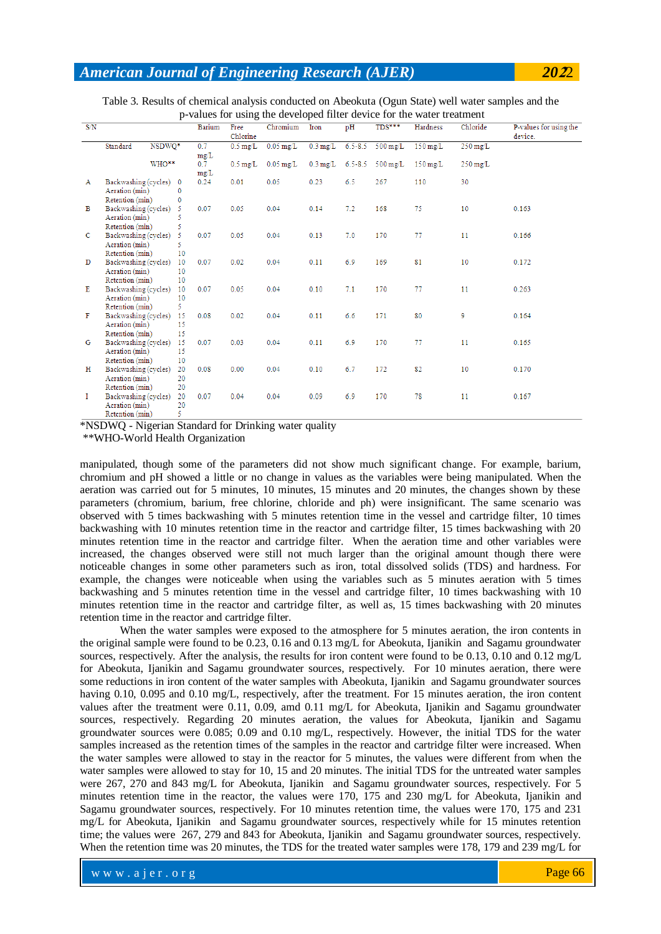| Table 3. Results of chemical analysis conducted on Abeokuta (Ogun State) well water samples and the |  |
|-----------------------------------------------------------------------------------------------------|--|
| p-values for using the developed filter device for the water treatment                              |  |

| S/N         |                         |        |              | <b>Barium</b> | Free<br>Chlorine      | Chromium            | Iron               | pH          | $TDS***$                            | Hardness              | Chloride              | P-values for using the<br>device. |
|-------------|-------------------------|--------|--------------|---------------|-----------------------|---------------------|--------------------|-------------|-------------------------------------|-----------------------|-----------------------|-----------------------------------|
|             | Standard                | NSDWQ* |              | 0.7           | $0.5 \text{ mg/L}$    | $0.05$ mg/L         | $0.3 \text{ mg/L}$ | $6.5 - 8.5$ | $500 \,\mathrm{mg/L}$               | $150 \,\mathrm{mg/L}$ | $250 \,\mathrm{mg/L}$ |                                   |
|             |                         |        |              | mg/L          |                       |                     |                    |             |                                     |                       |                       |                                   |
|             |                         | WHO**  |              | 0.7           | $0.5 \,\mathrm{mg/L}$ | $0.05 \text{ mg/L}$ |                    |             | $0.3 \text{ mg/L}$ 6.5-8.5 500 mg/L | $150 \,\mathrm{mg/L}$ | $250 \,\mathrm{mg/L}$ |                                   |
|             |                         |        |              | mg/L          |                       |                     |                    |             |                                     |                       |                       |                                   |
| A           | Backwashing (cycles) 0  |        |              | 0.24          | 0.01                  | 0.05                | 0.23               | 6.5         | 267                                 | 110                   | 30                    |                                   |
|             | Aeration (min)          |        | $\mathbf{0}$ |               |                       |                     |                    |             |                                     |                       |                       |                                   |
|             | Retention (min)         |        | $\mathbf{0}$ |               |                       |                     |                    |             |                                     |                       |                       |                                   |
| в           | Backwashing (cycles) 5  |        |              | 0.07          | 0.05                  | 0.04                | 0.14               | 7.2         | 168                                 | 75                    | 10                    | 0.163                             |
|             | Aeration (min)          |        |              |               |                       |                     |                    |             |                                     |                       |                       |                                   |
|             | Retention (min)         |        | 5            |               |                       |                     |                    |             |                                     |                       |                       |                                   |
| c           | Backwashing (cycles)    |        | 5            | 0.07          | 0.05                  | 0.04                | 0.13               | 7.0         | 170                                 | 77                    | 11                    | 0.166                             |
|             | Aeration (min)          |        |              |               |                       |                     |                    |             |                                     |                       |                       |                                   |
|             | Retention (min)         |        | 10           |               |                       |                     |                    |             |                                     |                       |                       |                                   |
| D           | Backwashing (cycles)    |        | 10           | 0.07          | 0.02                  | 0.04                | 0.11               | 6.9         | 169                                 | 81                    | 10                    | 0.172                             |
|             | Aeration (min)          |        | 10           |               |                       |                     |                    |             |                                     |                       |                       |                                   |
|             | Retention (min)         |        | 10           |               |                       |                     |                    |             |                                     |                       |                       |                                   |
| Е           | Backwashing (cycles) 10 |        |              | 0.07          | 0.05                  | 0.04                | 0.10               | 7.1         | 170                                 | 77                    | 11                    | 0.263                             |
|             | Aeration (min)          |        | 10           |               |                       |                     |                    |             |                                     |                       |                       |                                   |
|             | Retention (min)         |        | 5.           |               |                       |                     |                    |             |                                     |                       |                       |                                   |
| F           | Backwashing (cycles)    |        | 15           | 0.08          | 0.02                  | 0.04                | 0.11               | 6.6         | 171                                 | 80                    | 9                     | 0.164                             |
|             | Aeration (min)          |        | 15           |               |                       |                     |                    |             |                                     |                       |                       |                                   |
|             | Retention (min)         |        | 15           |               |                       |                     |                    |             |                                     |                       |                       |                                   |
| G           | Backwashing (cycles)    |        | 15           | 0.07          | 0.03                  | 0.04                | 0.11               | 6.9         | 170                                 | 77                    | 11                    | 0.165                             |
|             | Aeration (min)          |        | 15           |               |                       |                     |                    |             |                                     |                       |                       |                                   |
|             | Retention (min)         |        | 10           |               |                       |                     |                    |             |                                     |                       |                       |                                   |
| н           | Backwashing (cycles)    |        | 20           | 0.08          | 0.00                  | 0.04                | 0.10               | 6.7         | 172                                 | 82                    | 10                    | 0.170                             |
|             | Aeration (min)          |        | 20           |               |                       |                     |                    |             |                                     |                       |                       |                                   |
|             | Retention (min)         |        | 20           |               |                       |                     |                    |             |                                     |                       |                       |                                   |
| $\mathbf I$ | Backwashing (cycles)    |        | 20           | 0.07          | 0.04                  | 0.04                | 0.09               | 6.9         | 170                                 | 78                    | 11                    | 0.167                             |
|             | Aeration (min)          |        | 20           |               |                       |                     |                    |             |                                     |                       |                       |                                   |
|             | Retention (min)         |        | 5            |               |                       |                     |                    |             |                                     |                       |                       |                                   |

\*NSDWQ - Nigerian Standard for Drinking water quality

\*\*WHO-World Health Organization

manipulated, though some of the parameters did not show much significant change. For example, barium, chromium and pH showed a little or no change in values as the variables were being manipulated. When the aeration was carried out for 5 minutes, 10 minutes, 15 minutes and 20 minutes, the changes shown by these parameters (chromium, barium, free chlorine, chloride and ph) were insignificant. The same scenario was observed with 5 times backwashing with 5 minutes retention time in the vessel and cartridge filter, 10 times backwashing with 10 minutes retention time in the reactor and cartridge filter, 15 times backwashing with 20 minutes retention time in the reactor and cartridge filter. When the aeration time and other variables were increased, the changes observed were still not much larger than the original amount though there were noticeable changes in some other parameters such as iron, total dissolved solids (TDS) and hardness. For example, the changes were noticeable when using the variables such as 5 minutes aeration with 5 times backwashing and 5 minutes retention time in the vessel and cartridge filter, 10 times backwashing with 10 minutes retention time in the reactor and cartridge filter, as well as, 15 times backwashing with 20 minutes retention time in the reactor and cartridge filter.

When the water samples were exposed to the atmosphere for 5 minutes aeration, the iron contents in the original sample were found to be 0.23, 0.16 and 0.13 mg/L for Abeokuta, Ijanikin and Sagamu groundwater sources, respectively. After the analysis, the results for iron content were found to be 0.13, 0.10 and 0.12 mg/L for Abeokuta, Ijanikin and Sagamu groundwater sources, respectively. For 10 minutes aeration, there were some reductions in iron content of the water samples with Abeokuta, Ijanikin and Sagamu groundwater sources having 0.10, 0.095 and 0.10 mg/L, respectively, after the treatment. For 15 minutes aeration, the iron content values after the treatment were 0.11, 0.09, amd 0.11 mg/L for Abeokuta, Ijanikin and Sagamu groundwater sources, respectively. Regarding 20 minutes aeration, the values for Abeokuta, Ijanikin and Sagamu groundwater sources were 0.085; 0.09 and 0.10 mg/L, respectively. However, the initial TDS for the water samples increased as the retention times of the samples in the reactor and cartridge filter were increased. When the water samples were allowed to stay in the reactor for 5 minutes, the values were different from when the water samples were allowed to stay for 10, 15 and 20 minutes. The initial TDS for the untreated water samples were 267, 270 and 843 mg/L for Abeokuta, Ijanikin and Sagamu groundwater sources, respectively. For 5 minutes retention time in the reactor, the values were 170, 175 and 230 mg/L for Abeokuta, Ijanikin and Sagamu groundwater sources, respectively. For 10 minutes retention time, the values were 170, 175 and 231 mg/L for Abeokuta, Ijanikin and Sagamu groundwater sources, respectively while for 15 minutes retention time; the values were 267, 279 and 843 for Abeokuta, Ijanikin and Sagamu groundwater sources, respectively. When the retention time was 20 minutes, the TDS for the treated water samples were 178, 179 and 239 mg/L for